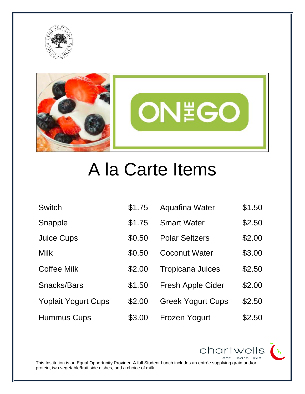



## A la Carte Items

| <b>Switch</b>              | \$1.75 | <b>Aquafina Water</b>    | \$1.50 |
|----------------------------|--------|--------------------------|--------|
| Snapple                    | \$1.75 | <b>Smart Water</b>       | \$2.50 |
| <b>Juice Cups</b>          | \$0.50 | <b>Polar Seltzers</b>    | \$2.00 |
| <b>Milk</b>                | \$0.50 | <b>Coconut Water</b>     | \$3.00 |
| <b>Coffee Milk</b>         | \$2.00 | <b>Tropicana Juices</b>  | \$2.50 |
| Snacks/Bars                | \$1.50 | <b>Fresh Apple Cider</b> | \$2.00 |
| <b>Yoplait Yogurt Cups</b> | \$2.00 | <b>Greek Yogurt Cups</b> | \$2.50 |
| <b>Hummus Cups</b>         | \$3.00 | <b>Frozen Yogurt</b>     | \$2.50 |

eat. learn. live. This Institution is an Equal Opportunity Provider. A full Student Lunch includes an entrée supplying grain and/or protein, two vegetable/fruit side dishes, and a choice of milk

chartwells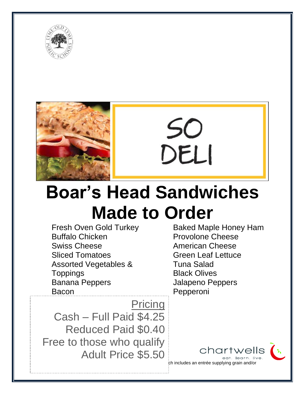



## **Boar's Head Sandwiches Made to Order**<br>Fresh Oven Gold Turkey<br>Baked Mapl

50

DELI

Buffalo Chicken **Provolone** Cheese Swiss Cheese Sliced Tomatoes Assorted Vegetables & **Toppings** Banana Peppers Bacon

Baked Maple Honey Ham American Cheese Green Leaf Lettuce Tuna Salad Black Olives Jalapeno Peppers Pepperoni

**Pricing** Cash – Full Paid \$4.25 Reduced Paid \$0.40 Free to those who qualify Adult Price \$5.50

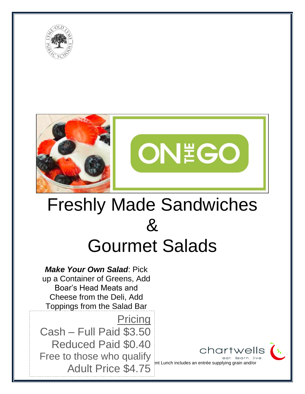



## Freshly Made Sandwiches  $8<sub>k</sub>$ Gourmet Salads

#### *Make Your Own Salad*: Pick up a Container of Greens, Add Boar's Head Meats and Cheese from the Deli, Add Toppings from the Salad Bar

**Pricing** 

Adult Price \$4.75 Cash – Full Paid \$3.50 Reduced Paid \$0.40 Free to those who qualify

chartwells

int Lunch includes an entrée supplying grain and/or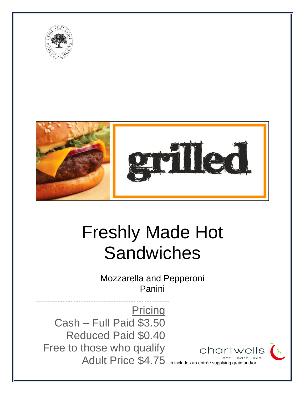



## Freshly Made Hot Sandwiches

Mozzarella and Pepperoni Panini

Adult Price \$4.75 chincludes an entrée supplying grain and/or **Pricing** Cash – Full Paid \$3.50 Reduced Paid \$0.40 Free to those who qualify

chartwells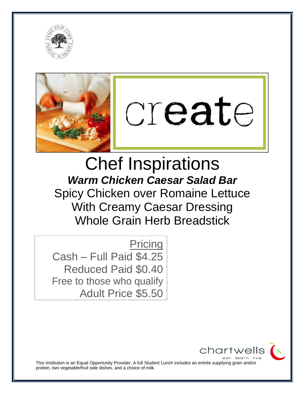



# create

Chef Inspirations *Warm Chicken Caesar Salad Bar* Spicy Chicken over Romaine Lettuce With Creamy Caesar Dressing Whole Grain Herb Breadstick

 $\frac{2}{1}$ Pricing Cash – Full Paid \$4.25 Reduced Paid \$0.40 Free to those who qualify Adult Price \$5.50



This Institution is an Equal Opportunity Provider. A full Student Lunch includes an entrée supplying grain and/or protein, two vegetable/fruit side dishes, and a choice of milk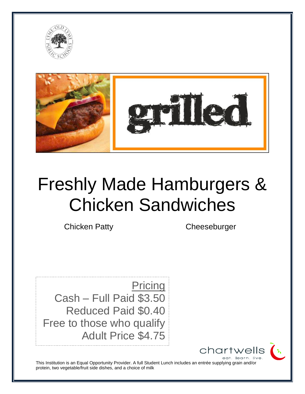



### Freshly Made Hamburgers & Chicken Sandwiches

Chicken Patty Cheeseburger

**Pricing** Cash – Full Paid \$3.50 Reduced Paid \$0.40 Free to those who qualify Adult Price \$4.75

chartwells

This Institution is an Equal Opportunity Provider. A full Student Lunch includes an entrée supplying grain and/or protein, two vegetable/fruit side dishes, and a choice of milk